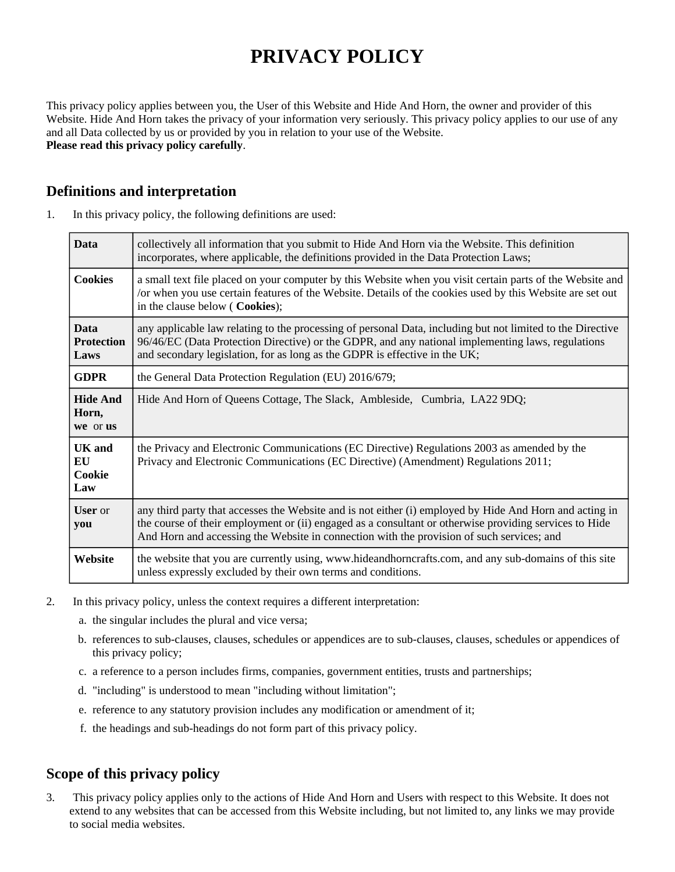# **PRIVACY POLICY**

This privacy policy applies between you, the User of this Website and Hide And Horn, the owner and provider of this Website. Hide And Horn takes the privacy of your information very seriously. This privacy policy applies to our use of any and all Data collected by us or provided by you in relation to your use of the Website. **Please read this privacy policy carefully**.

## **Definitions and interpretation**

| 1. | In this privacy policy, the following definitions are used: |  |  |
|----|-------------------------------------------------------------|--|--|
|----|-------------------------------------------------------------|--|--|

| <b>Data</b>                              | collectively all information that you submit to Hide And Horn via the Website. This definition<br>incorporates, where applicable, the definitions provided in the Data Protection Laws;                                                                                                                        |  |
|------------------------------------------|----------------------------------------------------------------------------------------------------------------------------------------------------------------------------------------------------------------------------------------------------------------------------------------------------------------|--|
| <b>Cookies</b>                           | a small text file placed on your computer by this Website when you visit certain parts of the Website and<br>/or when you use certain features of the Website. Details of the cookies used by this Website are set out<br>in the clause below (Cookies);                                                       |  |
| <b>Data</b><br><b>Protection</b><br>Laws | any applicable law relating to the processing of personal Data, including but not limited to the Directive<br>96/46/EC (Data Protection Directive) or the GDPR, and any national implementing laws, regulations<br>and secondary legislation, for as long as the GDPR is effective in the UK;                  |  |
| <b>GDPR</b>                              | the General Data Protection Regulation (EU) 2016/679;                                                                                                                                                                                                                                                          |  |
| <b>Hide And</b><br>Horn,<br>we or us     | Hide And Horn of Queens Cottage, The Slack, Ambleside, Cumbria, LA22 9DQ;                                                                                                                                                                                                                                      |  |
| <b>UK</b> and<br>EU<br>Cookie<br>Law     | the Privacy and Electronic Communications (EC Directive) Regulations 2003 as amended by the<br>Privacy and Electronic Communications (EC Directive) (Amendment) Regulations 2011;                                                                                                                              |  |
| <b>User</b> or<br>you                    | any third party that accesses the Website and is not either (i) employed by Hide And Horn and acting in<br>the course of their employment or (ii) engaged as a consultant or otherwise providing services to Hide<br>And Horn and accessing the Website in connection with the provision of such services; and |  |
| Website                                  | the website that you are currently using, www.hideandhorncrafts.com, and any sub-domains of this site<br>unless expressly excluded by their own terms and conditions.                                                                                                                                          |  |

- 2. In this privacy policy, unless the context requires a different interpretation:
	- a. the singular includes the plural and vice versa;
	- b. references to sub-clauses, clauses, schedules or appendices are to sub-clauses, clauses, schedules or appendices of this privacy policy;
	- c. a reference to a person includes firms, companies, government entities, trusts and partnerships;
	- d. "including" is understood to mean "including without limitation";
	- e. reference to any statutory provision includes any modification or amendment of it;
	- f. the headings and sub-headings do not form part of this privacy policy.

# **Scope of this privacy policy**

3. This privacy policy applies only to the actions of Hide And Horn and Users with respect to this Website. It does not extend to any websites that can be accessed from this Website including, but not limited to, any links we may provide to social media websites.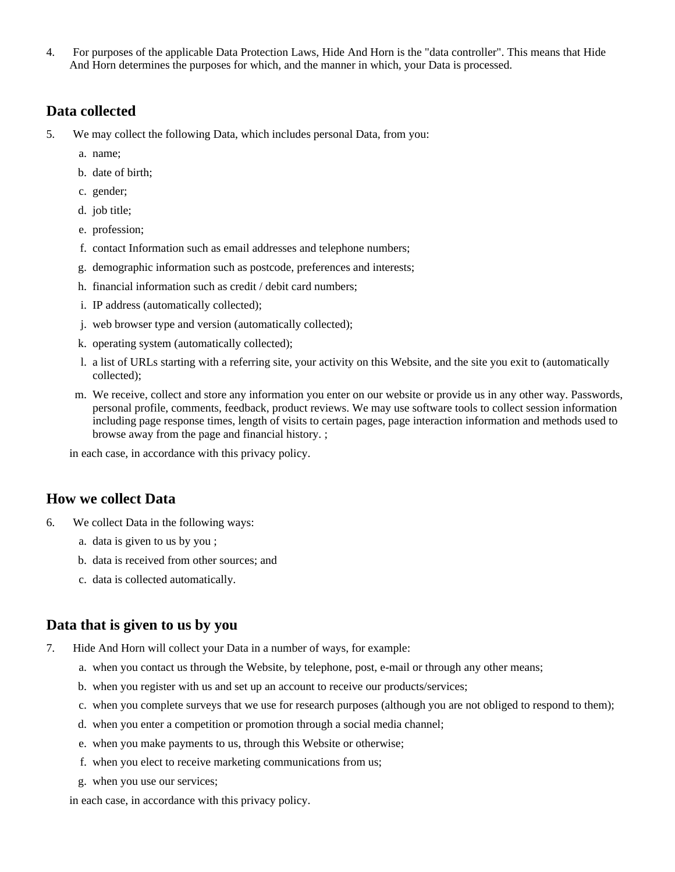4. For purposes of the applicable Data Protection Laws, Hide And Horn is the "data controller". This means that Hide And Horn determines the purposes for which, and the manner in which, your Data is processed.

#### **Data collected**

- 5. We may collect the following Data, which includes personal Data, from you:
	- a. name;
	- b. date of birth;
	- c. gender;
	- d. job title;
	- e. profession;
	- f. contact Information such as email addresses and telephone numbers;
	- g. demographic information such as postcode, preferences and interests;
	- h. financial information such as credit / debit card numbers;
	- i. IP address (automatically collected);
	- j. web browser type and version (automatically collected);
	- k. operating system (automatically collected);
	- l. a list of URLs starting with a referring site, your activity on this Website, and the site you exit to (automatically collected);
	- m. We receive, collect and store any information you enter on our website or provide us in any other way. Passwords, personal profile, comments, feedback, product reviews. We may use software tools to collect session information including page response times, length of visits to certain pages, page interaction information and methods used to browse away from the page and financial history. ;

in each case, in accordance with this privacy policy.

#### **How we collect Data**

- 6. We collect Data in the following ways:
	- a. data is given to us by you ;
	- b. data is received from other sources; and
	- c. data is collected automatically.

#### **Data that is given to us by you**

- 7. Hide And Horn will collect your Data in a number of ways, for example:
	- a. when you contact us through the Website, by telephone, post, e-mail or through any other means;
	- b. when you register with us and set up an account to receive our products/services;
	- c. when you complete surveys that we use for research purposes (although you are not obliged to respond to them);
	- d. when you enter a competition or promotion through a social media channel;
	- e. when you make payments to us, through this Website or otherwise;
	- f. when you elect to receive marketing communications from us;
	- g. when you use our services;

in each case, in accordance with this privacy policy.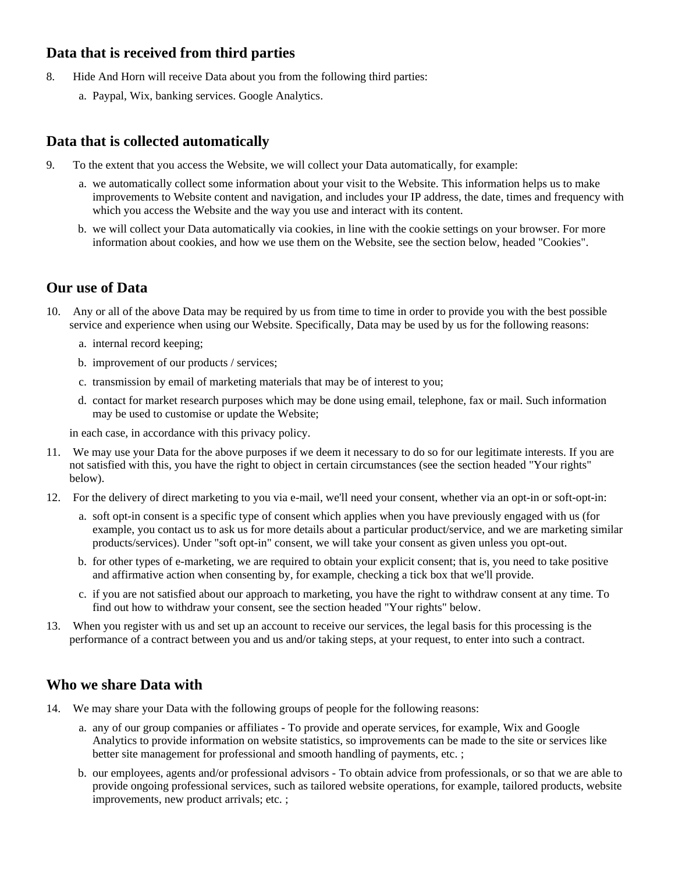# **Data that is received from third parties**

- 8. Hide And Horn will receive Data about you from the following third parties:
	- a. Paypal, Wix, banking services. Google Analytics.

# **Data that is collected automatically**

- 9. To the extent that you access the Website, we will collect your Data automatically, for example:
	- a. we automatically collect some information about your visit to the Website. This information helps us to make improvements to Website content and navigation, and includes your IP address, the date, times and frequency with which you access the Website and the way you use and interact with its content.
	- b. we will collect your Data automatically via cookies, in line with the cookie settings on your browser. For more information about cookies, and how we use them on the Website, see the section below, headed "Cookies".

## **Our use of Data**

- 10. Any or all of the above Data may be required by us from time to time in order to provide you with the best possible service and experience when using our Website. Specifically, Data may be used by us for the following reasons:
	- a. internal record keeping;
	- b. improvement of our products / services;
	- c. transmission by email of marketing materials that may be of interest to you;
	- d. contact for market research purposes which may be done using email, telephone, fax or mail. Such information may be used to customise or update the Website;

in each case, in accordance with this privacy policy.

- 11. We may use your Data for the above purposes if we deem it necessary to do so for our legitimate interests. If you are not satisfied with this, you have the right to object in certain circumstances (see the section headed "Your rights" below).
- 12. For the delivery of direct marketing to you via e-mail, we'll need your consent, whether via an opt-in or soft-opt-in:
	- a. soft opt-in consent is a specific type of consent which applies when you have previously engaged with us (for example, you contact us to ask us for more details about a particular product/service, and we are marketing similar products/services). Under "soft opt-in" consent, we will take your consent as given unless you opt-out.
	- b. for other types of e-marketing, we are required to obtain your explicit consent; that is, you need to take positive and affirmative action when consenting by, for example, checking a tick box that we'll provide.
	- c. if you are not satisfied about our approach to marketing, you have the right to withdraw consent at any time. To find out how to withdraw your consent, see the section headed "Your rights" below.
- 13. When you register with us and set up an account to receive our services, the legal basis for this processing is the performance of a contract between you and us and/or taking steps, at your request, to enter into such a contract.

## **Who we share Data with**

- 14. We may share your Data with the following groups of people for the following reasons:
	- a. any of our group companies or affiliates To provide and operate services, for example, Wix and Google Analytics to provide information on website statistics, so improvements can be made to the site or services like better site management for professional and smooth handling of payments, etc. ;
	- b. our employees, agents and/or professional advisors To obtain advice from professionals, or so that we are able to provide ongoing professional services, such as tailored website operations, for example, tailored products, website improvements, new product arrivals; etc. ;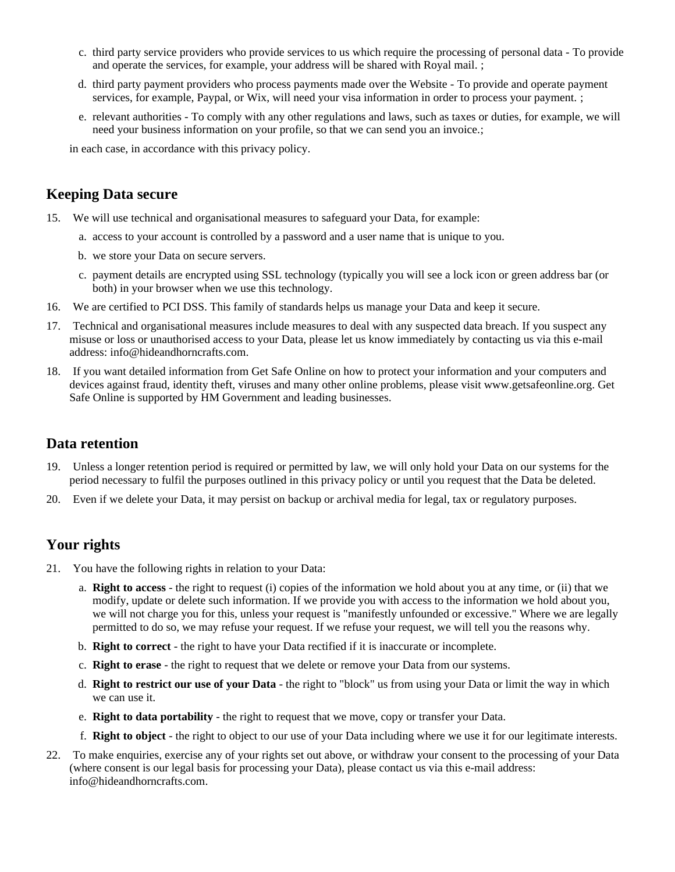- c. third party service providers who provide services to us which require the processing of personal data To provide and operate the services, for example, your address will be shared with Royal mail. ;
- d. third party payment providers who process payments made over the Website To provide and operate payment services, for example, Paypal, or Wix, will need your visa information in order to process your payment. ;
- e. relevant authorities To comply with any other regulations and laws, such as taxes or duties, for example, we will need your business information on your profile, so that we can send you an invoice.;

in each case, in accordance with this privacy policy.

#### **Keeping Data secure**

- 15. We will use technical and organisational measures to safeguard your Data, for example:
	- a. access to your account is controlled by a password and a user name that is unique to you.
	- b. we store your Data on secure servers.
	- c. payment details are encrypted using SSL technology (typically you will see a lock icon or green address bar (or both) in your browser when we use this technology.
- 16. We are certified to PCI DSS. This family of standards helps us manage your Data and keep it secure.
- 17. Technical and organisational measures include measures to deal with any suspected data breach. If you suspect any misuse or loss or unauthorised access to your Data, please let us know immediately by contacting us via this e-mail address: info@hideandhorncrafts.com.
- 18. If you want detailed information from Get Safe Online on how to protect your information and your computers and devices against fraud, identity theft, viruses and many other online problems, please visit www.getsafeonline.org. Get Safe Online is supported by HM Government and leading businesses.

#### **Data retention**

- 19. Unless a longer retention period is required or permitted by law, we will only hold your Data on our systems for the period necessary to fulfil the purposes outlined in this privacy policy or until you request that the Data be deleted.
- 20. Even if we delete your Data, it may persist on backup or archival media for legal, tax or regulatory purposes.

## **Your rights**

- 21. You have the following rights in relation to your Data:
	- a. **Right to access** the right to request (i) copies of the information we hold about you at any time, or (ii) that we modify, update or delete such information. If we provide you with access to the information we hold about you, we will not charge you for this, unless your request is "manifestly unfounded or excessive." Where we are legally permitted to do so, we may refuse your request. If we refuse your request, we will tell you the reasons why.
	- b. **Right to correct** the right to have your Data rectified if it is inaccurate or incomplete.
	- c. **Right to erase** the right to request that we delete or remove your Data from our systems.
	- d. **Right to restrict our use of your Data** the right to "block" us from using your Data or limit the way in which we can use it.
	- e. **Right to data portability** the right to request that we move, copy or transfer your Data.
	- f. **Right to object** the right to object to our use of your Data including where we use it for our legitimate interests.
- 22. To make enquiries, exercise any of your rights set out above, or withdraw your consent to the processing of your Data (where consent is our legal basis for processing your Data), please contact us via this e-mail address: info@hideandhorncrafts.com.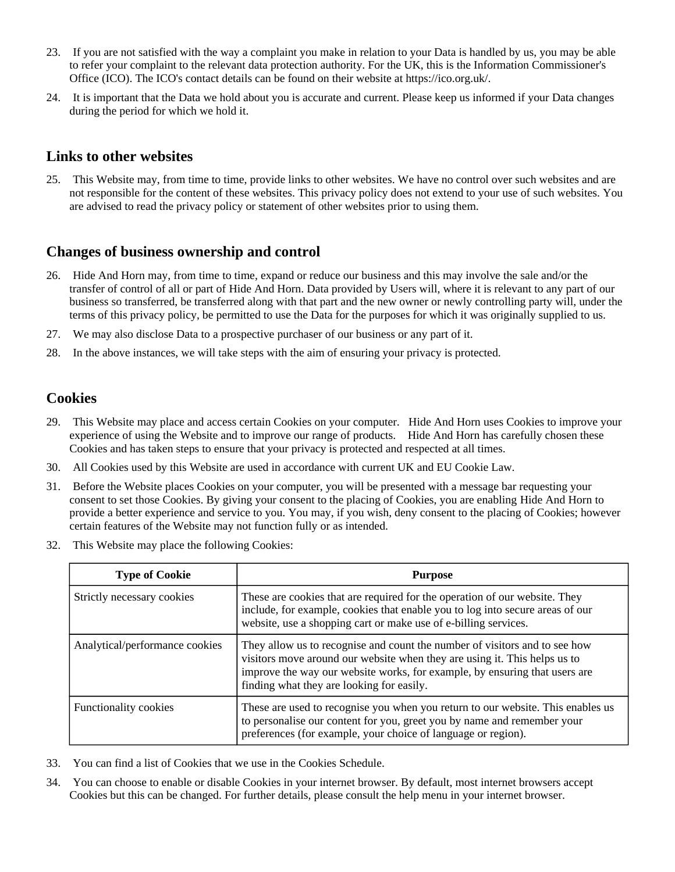- 23. If you are not satisfied with the way a complaint you make in relation to your Data is handled by us, you may be able to refer your complaint to the relevant data protection authority. For the UK, this is the Information Commissioner's Office (ICO). The ICO's contact details can be found on their website at https://ico.org.uk/.
- 24. It is important that the Data we hold about you is accurate and current. Please keep us informed if your Data changes during the period for which we hold it.

#### **Links to other websites**

25. This Website may, from time to time, provide links to other websites. We have no control over such websites and are not responsible for the content of these websites. This privacy policy does not extend to your use of such websites. You are advised to read the privacy policy or statement of other websites prior to using them.

### **Changes of business ownership and control**

- 26. Hide And Horn may, from time to time, expand or reduce our business and this may involve the sale and/or the transfer of control of all or part of Hide And Horn. Data provided by Users will, where it is relevant to any part of our business so transferred, be transferred along with that part and the new owner or newly controlling party will, under the terms of this privacy policy, be permitted to use the Data for the purposes for which it was originally supplied to us.
- 27. We may also disclose Data to a prospective purchaser of our business or any part of it.
- 28. In the above instances, we will take steps with the aim of ensuring your privacy is protected.

## **Cookies**

- 29. This Website may place and access certain Cookies on your computer. Hide And Horn uses Cookies to improve your experience of using the Website and to improve our range of products. Hide And Horn has carefully chosen these Cookies and has taken steps to ensure that your privacy is protected and respected at all times.
- 30. All Cookies used by this Website are used in accordance with current UK and EU Cookie Law.
- 31. Before the Website places Cookies on your computer, you will be presented with a message bar requesting your consent to set those Cookies. By giving your consent to the placing of Cookies, you are enabling Hide And Horn to provide a better experience and service to you. You may, if you wish, deny consent to the placing of Cookies; however certain features of the Website may not function fully or as intended.
- 32. This Website may place the following Cookies:

| <b>Type of Cookie</b>          | <b>Purpose</b>                                                                                                                                                                                                                                                                     |
|--------------------------------|------------------------------------------------------------------------------------------------------------------------------------------------------------------------------------------------------------------------------------------------------------------------------------|
| Strictly necessary cookies     | These are cookies that are required for the operation of our website. They<br>include, for example, cookies that enable you to log into secure areas of our<br>website, use a shopping cart or make use of e-billing services.                                                     |
| Analytical/performance cookies | They allow us to recognise and count the number of visitors and to see how<br>visitors move around our website when they are using it. This helps us to<br>improve the way our website works, for example, by ensuring that users are<br>finding what they are looking for easily. |
| <b>Functionality cookies</b>   | These are used to recognise you when you return to our website. This enables us<br>to personalise our content for you, greet you by name and remember your<br>preferences (for example, your choice of language or region).                                                        |

- 33. You can find a list of Cookies that we use in the Cookies Schedule.
- 34. You can choose to enable or disable Cookies in your internet browser. By default, most internet browsers accept Cookies but this can be changed. For further details, please consult the help menu in your internet browser.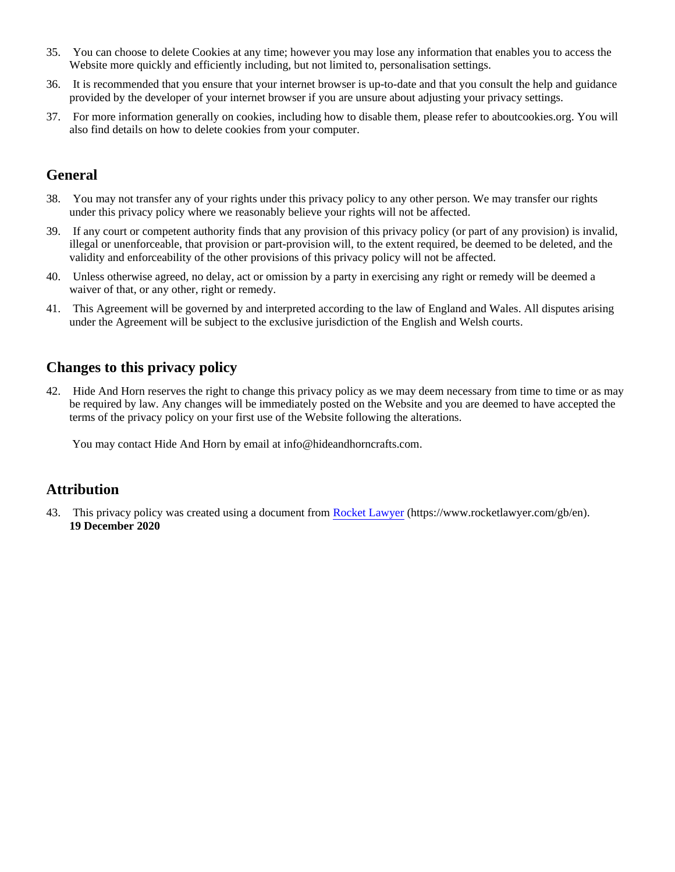- 35. You can choose to delete Cookies at any time; however you may lose any information that enables you to access the Website more quickly and efficiently including, but not limited to, personalisation settings.
- 36. It is recommended that you ensure that your internet browser is up-to-date and that you consult the help and guidance provided by the developer of your internet browser if you are unsure about adjusting your privacy settings.
- 37. For more information generally on cookies, including how to disable them, please refer to aboutcookies.org. You will also find details on how to delete cookies from your computer.

# **General**

- 38. You may not transfer any of your rights under this privacy policy to any other person. We may transfer our rights under this privacy policy where we reasonably believe your rights will not be affected.
- 39. If any court or competent authority finds that any provision of this privacy policy (or part of any provision) is invalid, illegal or unenforceable, that provision or part-provision will, to the extent required, be deemed to be deleted, and the validity and enforceability of the other provisions of this privacy policy will not be affected.
- 40. Unless otherwise agreed, no delay, act or omission by a party in exercising any right or remedy will be deemed a waiver of that, or any other, right or remedy.
- 41. This Agreement will be governed by and interpreted according to the law of England and Wales. All disputes arising under the Agreement will be subject to the exclusive jurisdiction of the English and Welsh courts.

# **Changes to this privacy policy**

42. Hide And Horn reserves the right to change this privacy policy as we may deem necessary from time to time or as may be required by law. Any changes will be immediately posted on the Website and you are deemed to have accepted the terms of the privacy policy on your first use of the Website following the alterations.

You may contact Hide And Horn by email at info@hideandhorncrafts.com.

## **Attribution**

43. This privacy policy was created using a document from [Rocket Lawyer](https://www.rocketlawyer.com/gb/en/) (https://www.rocketlawyer.com/gb/en). **19 December 2020**